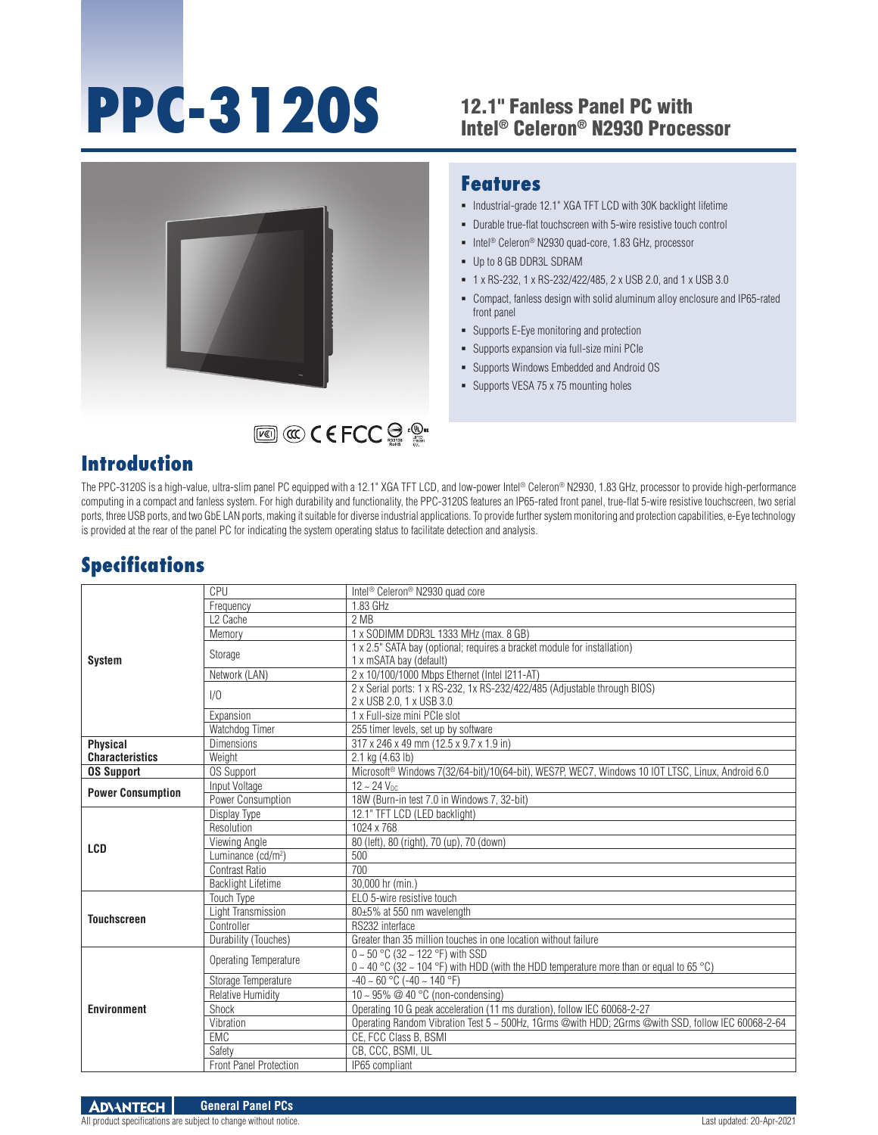# **PPC-3120S** 12.1" Fanless Panel PC with

# Intel® Celeron® N2930 Processor



#### **Features**

- $\blacksquare$  Industrial-grade 12.1" XGA TFT LCD with 30K backlight lifetime
- Durable true-flat touchscreen with 5-wire resistive touch control
- Intel<sup>®</sup> Celeron<sup>®</sup> N2930 quad-core, 1.83 GHz, processor
- Up to 8 GB DDR3L SDRAM
- 1 x RS-232, 1 x RS-232/422/485, 2 x USB 2.0, and 1 x USB 3.0
- Compact, fanless design with solid aluminum alloy enclosure and IP65-rated front panel
- **Supports E-Eye monitoring and protection**
- Supports expansion via full-size mini PCIe
- Supports Windows Embedded and Android OS
- **Supports VESA 75 x 75 mounting holes**

## **Introduction**

The PPC-3120S is a high-value, ultra-slim panel PC equipped with a 12.1" XGA TFT LCD, and low-power Intel® Celeron® N2930, 1.83 GHz, processor to provide high-performance computing in a compact and fanless system. For high durability and functionality, the PPC-3120S features an IP65-rated front panel, true-flat 5-wire resistive touchscreen, two serial ports, three USB ports, and two GbE LAN ports, making it suitable for diverse industrial applications. To provide further system monitoring and protection capabilities, e-Eye technology is provided at the rear of the panel PC for indicating the system operating status to facilitate detection and analysis.

# **Specifications**

| <b>System</b>            | CPU                            | Intel <sup>®</sup> Celeron <sup>®</sup> N2930 quad core                                                                                    |
|--------------------------|--------------------------------|--------------------------------------------------------------------------------------------------------------------------------------------|
|                          | Frequency                      | 1.83 GHz                                                                                                                                   |
|                          | L <sub>2</sub> Cache           | 2 MB                                                                                                                                       |
|                          | Memory                         | 1 x SODIMM DDR3L 1333 MHz (max. 8 GB)                                                                                                      |
|                          | Storage                        | 1 x 2.5" SATA bay (optional; requires a bracket module for installation)<br>1 x mSATA bay (default)                                        |
|                          | Network (LAN)                  | 2 x 10/100/1000 Mbps Ethernet (Intel I211-AT)                                                                                              |
|                          | 1/0                            | 2 x Serial ports: 1 x RS-232, 1x RS-232/422/485 (Adjustable through BIOS)<br>2 x USB 2.0, 1 x USB 3.0                                      |
|                          | Expansion                      | 1 x Full-size mini PCIe slot                                                                                                               |
|                          | Watchdog Timer                 | 255 timer levels, set up by software                                                                                                       |
| <b>Physical</b>          | <b>Dimensions</b>              | 317 x 246 x 49 mm (12.5 x 9.7 x 1.9 in)                                                                                                    |
| <b>Characteristics</b>   | Weight                         | 2.1 kg (4.63 lb)                                                                                                                           |
| <b>OS Support</b>        | OS Support                     | Microsoft® Windows 7(32/64-bit)/10(64-bit), WES7P, WEC7, Windows 10 IOT LTSC, Linux, Android 6.0                                           |
| <b>Power Consumption</b> | Input Voltage                  | $12 \sim 24$ V <sub>nc</sub>                                                                                                               |
|                          | Power Consumption              | 18W (Burn-in test 7.0 in Windows 7, 32-bit)                                                                                                |
| <b>LCD</b>               | Display Type                   | 12.1" TFT LCD (LED backlight)                                                                                                              |
|                          | Resolution                     | 1024 x 768                                                                                                                                 |
|                          | Viewing Angle                  | 80 (left), 80 (right), 70 (up), 70 (down)                                                                                                  |
|                          | Luminance (cd/m <sup>2</sup> ) | 500                                                                                                                                        |
|                          | <b>Contrast Ratio</b>          | 700                                                                                                                                        |
|                          | <b>Backlight Lifetime</b>      | 30,000 hr (min.)                                                                                                                           |
| <b>Touchscreen</b>       | <b>Touch Type</b>              | ELO 5-wire resistive touch                                                                                                                 |
|                          | Light Transmission             | 80±5% at 550 nm wavelength                                                                                                                 |
|                          | Controller                     | RS232 interface                                                                                                                            |
|                          | Durability (Touches)           | Greater than 35 million touches in one location without failure                                                                            |
| <b>Environment</b>       | Operating Temperature          | $0 \sim 50$ °C (32 ~ 122 °F) with SSD<br>$0 \sim 40$ °C (32 $\sim$ 104 °F) with HDD (with the HDD temperature more than or equal to 65 °C) |
|                          | Storage Temperature            | $-40 \sim 60$ °C ( $-40 \sim 140$ °F)                                                                                                      |
|                          | <b>Relative Humidity</b>       | 10 ~ 95% $@$ 40 °C (non-condensing)                                                                                                        |
|                          | Shock                          | Operating 10 G peak acceleration (11 ms duration), follow IEC 60068-2-27                                                                   |
|                          | Vibration                      | Operating Random Vibration Test 5 ~ 500Hz, 1Grms @with HDD; 2Grms @with SSD, follow IEC 60068-2-64                                         |
|                          | <b>EMC</b>                     | CE. FCC Class B. BSMI                                                                                                                      |
|                          | Safety                         | CB, CCC, BSMI, UL                                                                                                                          |
|                          | <b>Front Panel Protection</b>  | IP65 compliant                                                                                                                             |

All product specifications are subject to change without notice. Last updated: 20-Apr-2021